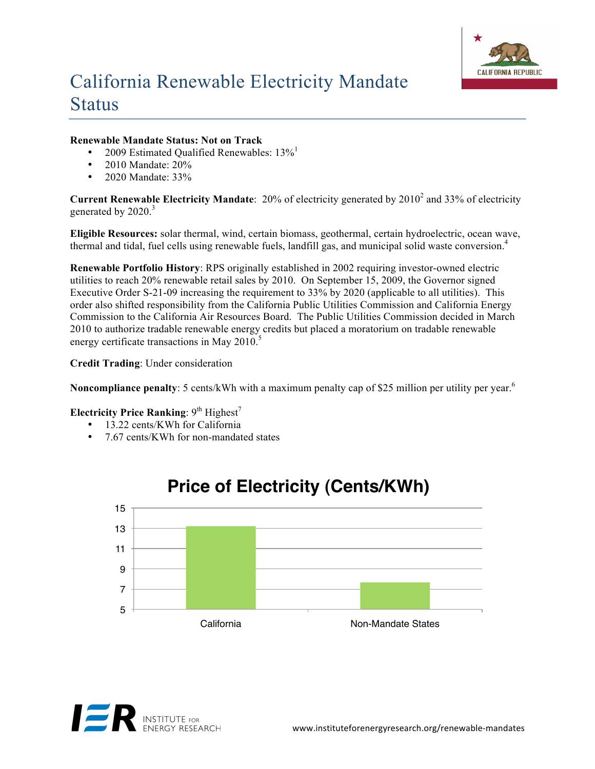

## California Renewable Electricity Mandate **Status**

## **Renewable Mandate Status: Not on Track**

- 2009 Estimated Qualified Renewables:  $13\%$ <sup>1</sup>
- 2010 Mandate: 20%
- 2020 Mandate: 33%

**Current Renewable Electricity Mandate**: 20% of electricity generated by 2010<sup>2</sup> and 33% of electricity generated by 2020.<sup>3</sup>

**Eligible Resources:** solar thermal, wind, certain biomass, geothermal, certain hydroelectric, ocean wave, thermal and tidal, fuel cells using renewable fuels, landfill gas, and municipal solid waste conversion. 4

**Renewable Portfolio History**: RPS originally established in 2002 requiring investor-owned electric utilities to reach 20% renewable retail sales by 2010. On September 15, 2009, the Governor signed Executive Order S-21-09 increasing the requirement to 33% by 2020 (applicable to all utilities). This order also shifted responsibility from the California Public Utilities Commission and California Energy Commission to the California Air Resources Board. The Public Utilities Commission decided in March 2010 to authorize tradable renewable energy credits but placed a moratorium on tradable renewable energy certificate transactions in May 2010.<sup>5</sup>

**Credit Trading**: Under consideration

**Noncompliance penalty**: 5 cents/kWh with a maximum penalty cap of \$25 million per utility per year.<sup>6</sup>

## **Electricity Price Ranking**:  $9<sup>th</sup>$  Highest<sup>7</sup>

- 13.22 cents/KWh for California
- 7.67 cents/KWh for non-mandated states



## **Price of Electricity (Cents/KWh)**